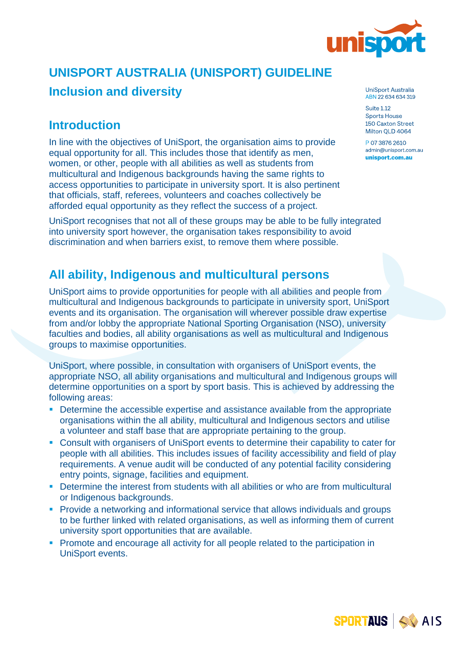

# **UNISPORT AUSTRALIA (UNISPORT) GUIDELINE Inclusion and diversity**

#### **Introduction**

In line with the objectives of UniSport, the organisation aims to provide equal opportunity for all. This includes those that identify as men, women, or other, people with all abilities as well as students from multicultural and Indigenous backgrounds having the same rights to access opportunities to participate in university sport. It is also pertinent that officials, staff, referees, volunteers and coaches collectively be afforded equal opportunity as they reflect the success of a project.

UniSport recognises that not all of these groups may be able to be fully integrated into university sport however, the organisation takes responsibility to avoid discrimination and when barriers exist, to remove them where possible.

### **All ability, Indigenous and multicultural persons**

UniSport aims to provide opportunities for people with all abilities and people from multicultural and Indigenous backgrounds to participate in university sport, UniSport events and its organisation. The organisation will wherever possible draw expertise from and/or lobby the appropriate National Sporting Organisation (NSO), university faculties and bodies, all ability organisations as well as multicultural and Indigenous groups to maximise opportunities.

UniSport, where possible, in consultation with organisers of UniSport events, the appropriate NSO, all ability organisations and multicultural and Indigenous groups will determine opportunities on a sport by sport basis. This is achieved by addressing the following areas:

- **Determine the accessible expertise and assistance available from the appropriate** organisations within the all ability, multicultural and Indigenous sectors and utilise a volunteer and staff base that are appropriate pertaining to the group.
- Consult with organisers of UniSport events to determine their capability to cater for people with all abilities. This includes issues of facility accessibility and field of play requirements. A venue audit will be conducted of any potential facility considering entry points, signage, facilities and equipment.
- **Determine the interest from students with all abilities or who are from multicultural** or Indigenous backgrounds.
- Provide a networking and informational service that allows individuals and groups to be further linked with related organisations, as well as informing them of current university sport opportunities that are available.
- **Promote and encourage all activity for all people related to the participation in** UniSport events.

UniSport Australia ABN 22 634 634 319

**Suite 1.12 Sports House** 150 Caxton Street Milton OLD 4064

P 07 3876 2610 admin@unisport.com.au unisport.com.au

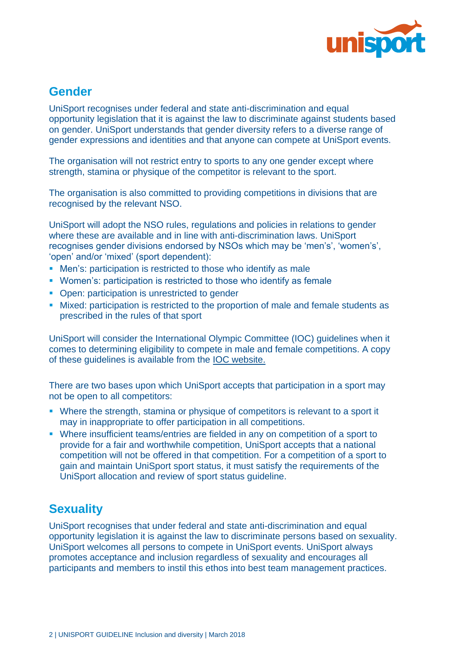

## **Gender**

UniSport recognises under federal and state anti-discrimination and equal opportunity legislation that it is against the law to discriminate against students based on gender. UniSport understands that gender diversity refers to a diverse range of gender expressions and identities and that anyone can compete at UniSport events.

The organisation will not restrict entry to sports to any one gender except where strength, stamina or physique of the competitor is relevant to the sport.

The organisation is also committed to providing competitions in divisions that are recognised by the relevant NSO.

UniSport will adopt the NSO rules, regulations and policies in relations to gender where these are available and in line with anti-discrimination laws. UniSport recognises gender divisions endorsed by NSOs which may be 'men's', 'women's', 'open' and/or 'mixed' (sport dependent):

- **Men's: participation is restricted to those who identify as male**
- Women's: participation is restricted to those who identify as female
- Open: participation is unrestricted to gender
- **EXECT:** Mixed: participation is restricted to the proportion of male and female students as prescribed in the rules of that sport

UniSport will consider the International Olympic Committee (IOC) guidelines when it comes to determining eligibility to compete in male and female competitions. A copy of these guidelines is available from the [IOC website.](http://www.olympic.org/Documents/Commissions_PDFfiles/Medical_commission/2015-11_ioc_consensus_meeting_on_sex_reassignment_and_hyperandrogenism-en.pdf)

There are two bases upon which UniSport accepts that participation in a sport may not be open to all competitors:

- Where the strength, stamina or physique of competitors is relevant to a sport it may in inappropriate to offer participation in all competitions.
- Where insufficient teams/entries are fielded in any on competition of a sport to provide for a fair and worthwhile competition, UniSport accepts that a national competition will not be offered in that competition. For a competition of a sport to gain and maintain UniSport sport status, it must satisfy the requirements of the UniSport allocation and review of sport status guideline.

## **Sexuality**

UniSport recognises that under federal and state anti-discrimination and equal opportunity legislation it is against the law to discriminate persons based on sexuality. UniSport welcomes all persons to compete in UniSport events. UniSport always promotes acceptance and inclusion regardless of sexuality and encourages all participants and members to instil this ethos into best team management practices.